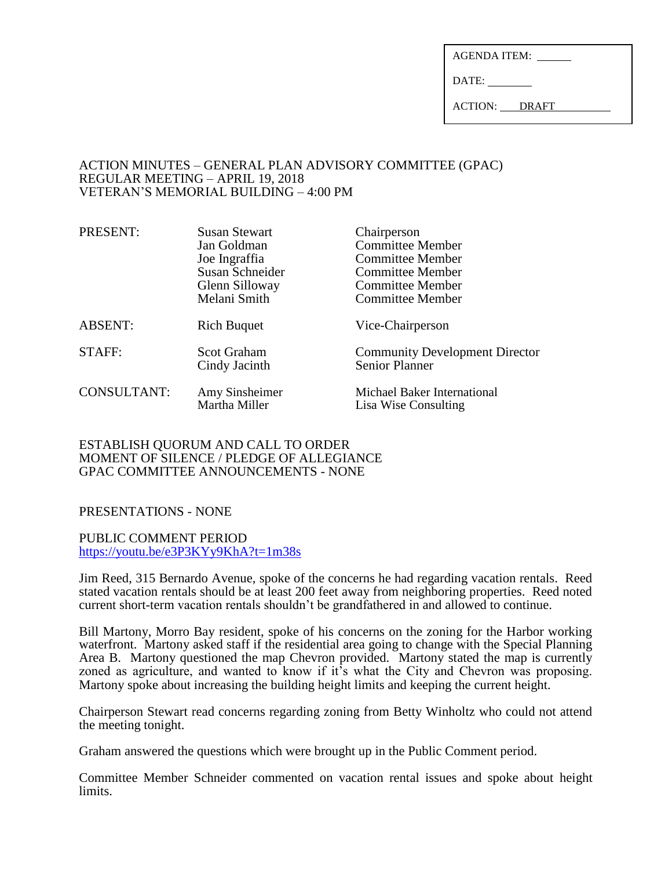| AGENDA ITEM: |  |
|--------------|--|
|              |  |

DATE:

ACTION: DRAFT

#### ACTION MINUTES – GENERAL PLAN ADVISORY COMMITTEE (GPAC) REGULAR MEETING – APRIL 19, 2018 VETERAN'S MEMORIAL BUILDING – 4:00 PM

| PRESENT:           | <b>Susan Stewart</b>                | Chairperson                                                    |
|--------------------|-------------------------------------|----------------------------------------------------------------|
|                    | Jan Goldman                         | <b>Committee Member</b>                                        |
|                    | Joe Ingraffia                       | <b>Committee Member</b>                                        |
|                    | Susan Schneider                     | <b>Committee Member</b>                                        |
|                    | Glenn Silloway                      | <b>Committee Member</b>                                        |
|                    | Melani Smith                        | <b>Committee Member</b>                                        |
| <b>ABSENT:</b>     | <b>Rich Buquet</b>                  | Vice-Chairperson                                               |
| STAFF:             | <b>Scot Graham</b><br>Cindy Jacinth | <b>Community Development Director</b><br><b>Senior Planner</b> |
| <b>CONSULTANT:</b> | Amy Sinsheimer<br>Martha Miller     | Michael Baker International<br>Lisa Wise Consulting            |

### ESTABLISH QUORUM AND CALL TO ORDER MOMENT OF SILENCE / PLEDGE OF ALLEGIANCE GPAC COMMITTEE ANNOUNCEMENTS - NONE

# PRESENTATIONS - NONE

PUBLIC COMMENT PERIOD <https://youtu.be/e3P3KYy9KhA?t=1m38s>

Jim Reed, 315 Bernardo Avenue, spoke of the concerns he had regarding vacation rentals. Reed stated vacation rentals should be at least 200 feet away from neighboring properties. Reed noted current short-term vacation rentals shouldn't be grandfathered in and allowed to continue.

Bill Martony, Morro Bay resident, spoke of his concerns on the zoning for the Harbor working waterfront. Martony asked staff if the residential area going to change with the Special Planning Area B. Martony questioned the map Chevron provided. Martony stated the map is currently zoned as agriculture, and wanted to know if it's what the City and Chevron was proposing. Martony spoke about increasing the building height limits and keeping the current height.

Chairperson Stewart read concerns regarding zoning from Betty Winholtz who could not attend the meeting tonight.

Graham answered the questions which were brought up in the Public Comment period.

Committee Member Schneider commented on vacation rental issues and spoke about height limits.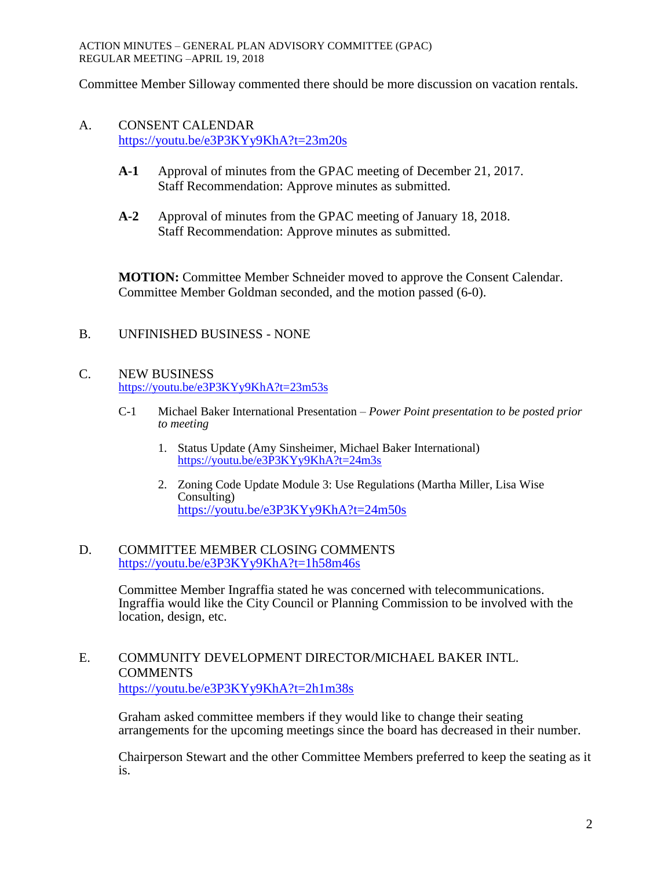Committee Member Silloway commented there should be more discussion on vacation rentals.

## A. CONSENT CALENDAR <https://youtu.be/e3P3KYy9KhA?t=23m20s>

- **A-1** Approval of minutes from the GPAC meeting of December 21, 2017. Staff Recommendation: Approve minutes as submitted.
- **A-2** Approval of minutes from the GPAC meeting of January 18, 2018. Staff Recommendation: Approve minutes as submitted.

**MOTION:** Committee Member Schneider moved to approve the Consent Calendar. Committee Member Goldman seconded, and the motion passed (6-0).

## B. UNFINISHED BUSINESS - NONE

### C. NEW BUSINESS <https://youtu.be/e3P3KYy9KhA?t=23m53s>

- C-1 Michael Baker International Presentation *Power Point presentation to be posted prior to meeting*
	- 1. Status Update (Amy Sinsheimer, Michael Baker International) <https://youtu.be/e3P3KYy9KhA?t=24m3s>
	- 2. Zoning Code Update Module 3: Use Regulations (Martha Miller, Lisa Wise Consulting) <https://youtu.be/e3P3KYy9KhA?t=24m50s>

#### D. COMMITTEE MEMBER CLOSING COMMENTS <https://youtu.be/e3P3KYy9KhA?t=1h58m46s>

Committee Member Ingraffia stated he was concerned with telecommunications. Ingraffia would like the City Council or Planning Commission to be involved with the location, design, etc.

### E. COMMUNITY DEVELOPMENT DIRECTOR/MICHAEL BAKER INTL. COMMENTS <https://youtu.be/e3P3KYy9KhA?t=2h1m38s>

Graham asked committee members if they would like to change their seating arrangements for the upcoming meetings since the board has decreased in their number.

Chairperson Stewart and the other Committee Members preferred to keep the seating as it is.